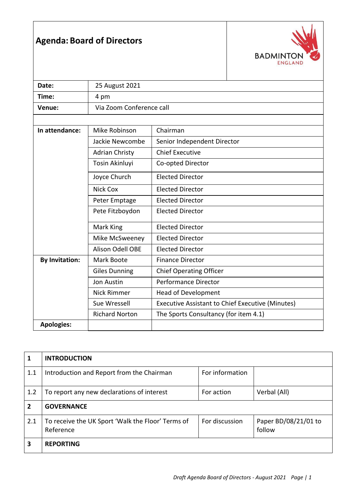## **Agenda: Board of Directors**



| Date:                 | 25 August 2021                           |                                                         |  |
|-----------------------|------------------------------------------|---------------------------------------------------------|--|
| Time:                 | 4 pm                                     |                                                         |  |
| Venue:                | Via Zoom Conference call                 |                                                         |  |
|                       |                                          |                                                         |  |
| In attendance:        | Mike Robinson<br>Chairman                |                                                         |  |
|                       | Jackie Newcombe                          | Senior Independent Director                             |  |
|                       | <b>Adrian Christy</b>                    | <b>Chief Executive</b>                                  |  |
|                       | Tosin Akinluyi                           | Co-opted Director                                       |  |
|                       | Joyce Church                             | <b>Elected Director</b>                                 |  |
|                       | <b>Nick Cox</b>                          | <b>Elected Director</b>                                 |  |
|                       | Peter Emptage<br><b>Elected Director</b> |                                                         |  |
|                       | Pete Fitzboydon                          | <b>Elected Director</b>                                 |  |
|                       | Mark King                                | <b>Elected Director</b>                                 |  |
|                       | Mike McSweeney                           | <b>Elected Director</b>                                 |  |
|                       | <b>Alison Odell OBE</b>                  | <b>Elected Director</b>                                 |  |
| <b>By Invitation:</b> | Mark Boote                               | <b>Finance Director</b>                                 |  |
|                       | <b>Giles Dunning</b>                     | <b>Chief Operating Officer</b>                          |  |
|                       | Jon Austin                               | <b>Performance Director</b>                             |  |
|                       | <b>Nick Rimmer</b>                       | Head of Development                                     |  |
|                       | Sue Wressell                             | <b>Executive Assistant to Chief Executive (Minutes)</b> |  |
|                       | <b>Richard Norton</b>                    | The Sports Consultancy (for item 4.1)                   |  |
| <b>Apologies:</b>     |                                          |                                                         |  |

| 1              | <b>INTRODUCTION</b>                                            |                 |                                |
|----------------|----------------------------------------------------------------|-----------------|--------------------------------|
| 1.1            | Introduction and Report from the Chairman                      | For information |                                |
| 1.2            | To report any new declarations of interest                     | For action      | Verbal (All)                   |
| $\overline{2}$ | <b>GOVERNANCE</b>                                              |                 |                                |
| 2.1            | To receive the UK Sport 'Walk the Floor' Terms of<br>Reference | For discussion  | Paper BD/08/21/01 to<br>follow |
| 3              | <b>REPORTING</b>                                               |                 |                                |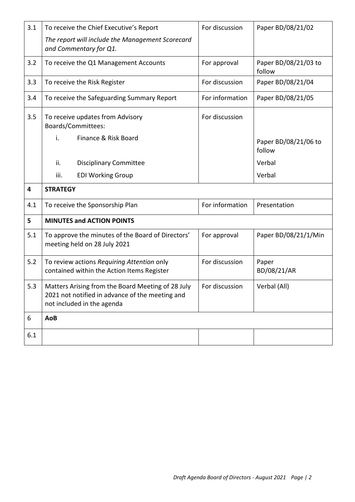| 3.1 | To receive the Chief Executive's Report                                                                                            | For discussion  | Paper BD/08/21/02              |  |
|-----|------------------------------------------------------------------------------------------------------------------------------------|-----------------|--------------------------------|--|
|     | The report will include the Management Scorecard<br>and Commentary for Q1.                                                         |                 |                                |  |
| 3.2 | To receive the Q1 Management Accounts                                                                                              | For approval    | Paper BD/08/21/03 to<br>follow |  |
| 3.3 | To receive the Risk Register                                                                                                       | For discussion  | Paper BD/08/21/04              |  |
| 3.4 | To receive the Safeguarding Summary Report                                                                                         | For information | Paper BD/08/21/05              |  |
| 3.5 | To receive updates from Advisory<br>Boards/Committees:                                                                             | For discussion  |                                |  |
|     | i.<br>Finance & Risk Board                                                                                                         |                 | Paper BD/08/21/06 to<br>follow |  |
|     | ii.<br><b>Disciplinary Committee</b>                                                                                               |                 | Verbal                         |  |
|     | iii.<br><b>EDI Working Group</b>                                                                                                   |                 | Verbal                         |  |
|     | <b>STRATEGY</b>                                                                                                                    |                 |                                |  |
| 4   |                                                                                                                                    |                 |                                |  |
| 4.1 | To receive the Sponsorship Plan                                                                                                    | For information | Presentation                   |  |
| 5   | <b>MINUTES and ACTION POINTS</b>                                                                                                   |                 |                                |  |
| 5.1 | To approve the minutes of the Board of Directors'<br>meeting held on 28 July 2021                                                  | For approval    | Paper BD/08/21/1/Min           |  |
| 5.2 | To review actions Requiring Attention only<br>contained within the Action Items Register                                           | For discussion  | Paper<br>BD/08/21/AR           |  |
| 5.3 | Matters Arising from the Board Meeting of 28 July<br>2021 not notified in advance of the meeting and<br>not included in the agenda | For discussion  | Verbal (All)                   |  |
| 6   | AoB                                                                                                                                |                 |                                |  |